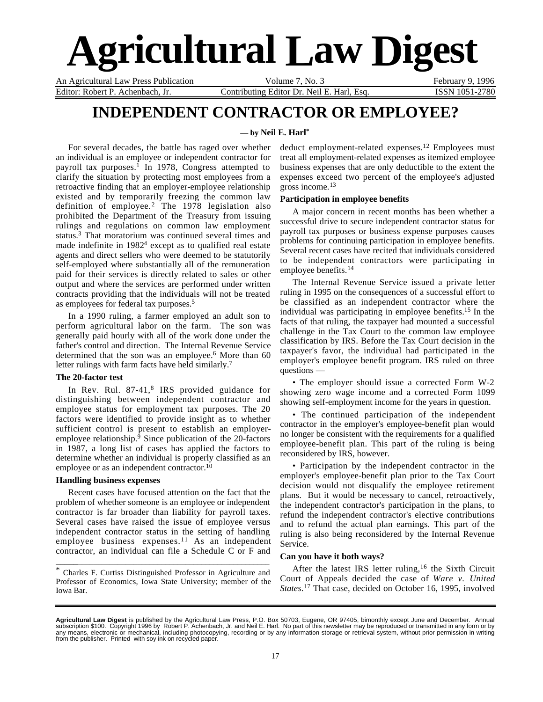# **Agricultural Law Digest**

Editor: Robert P. Achenbach, Jr. Contributing Editor Dr. Neil E. Harl, Esq. ISSN 1051-2780

An Agricultural Law Press Publication Volume 7, No. 3 February 9, 1996

## **INDEPENDENT CONTRACTOR OR EMPLOYEE?**

#### **— by Neil E. Harl\***

For several decades, the battle has raged over whether an individual is an employee or independent contractor for payroll tax purposes.<sup> $\overline{1}$ </sup> In 1978, Congress attempted to clarify the situation by protecting most employees from a retroactive finding that an employer-employee relationship existed and by temporarily freezing the common law definition of employee.<sup>2</sup> The  $1978$  legislation also prohibited the Department of the Treasury from issuing rulings and regulations on common law employment status.3 That moratorium was continued several times and made indefinite in 1982<sup>4</sup> except as to qualified real estate agents and direct sellers who were deemed to be statutorily self-employed where substantially all of the remuneration paid for their services is directly related to sales or other output and where the services are performed under written contracts providing that the individuals will not be treated as employees for federal tax purposes.5

In a 1990 ruling, a farmer employed an adult son to perform agricultural labor on the farm. The son was generally paid hourly with all of the work done under the father's control and direction. The Internal Revenue Service determined that the son was an employee.<sup>6</sup> More than 60 letter rulings with farm facts have held similarly.<sup>7</sup>

#### **The 20-factor test**

In Rev. Rul. 87-41,<sup>8</sup> IRS provided guidance for distinguishing between independent contractor and employee status for employment tax purposes. The 20 factors were identified to provide insight as to whether sufficient control is present to establish an employeremployee relationship. $\overline{9}$  Since publication of the 20-factors in 1987, a long list of cases has applied the factors to determine whether an individual is properly classified as an employee or as an independent contractor.<sup>10</sup>

#### **Handling business expenses**

Recent cases have focused attention on the fact that the problem of whether someone is an employee or independent contractor is far broader than liability for payroll taxes. Several cases have raised the issue of employee versus independent contractor status in the setting of handling employee business expenses.<sup>11</sup> As an independent contractor, an individual can file a Schedule C or F and

\* Charles F. Curtiss Distinguished Professor in Agriculture and Professor of Economics, Iowa State University; member of the Iowa Bar.

\_\_\_\_\_\_\_\_\_\_\_\_\_\_\_\_\_\_\_\_\_\_\_\_\_\_\_\_\_\_\_\_\_\_\_\_\_\_\_\_\_\_\_\_\_\_\_\_\_\_\_\_\_

deduct employment-related expenses.12 Employees must treat all employment-related expenses as itemized employee business expenses that are only deductible to the extent the expenses exceed two percent of the employee's adjusted gross income.13

#### **Participation in employee benefits**

A major concern in recent months has been whether a successful drive to secure independent contractor status for payroll tax purposes or business expense purposes causes problems for continuing participation in employee benefits. Several recent cases have recited that individuals considered to be independent contractors were participating in employee benefits.<sup>14</sup>

The Internal Revenue Service issued a private letter ruling in 1995 on the consequences of a successful effort to be classified as an independent contractor where the individual was participating in employee benefits.15 In the facts of that ruling, the taxpayer had mounted a successful challenge in the Tax Court to the common law employee classification by IRS. Before the Tax Court decision in the taxpayer's favor, the individual had participated in the employer's employee benefit program. IRS ruled on three questions —

• The employer should issue a corrected Form W-2 showing zero wage income and a corrected Form 1099 showing self-employment income for the years in question.

• The continued participation of the independent contractor in the employer's employee-benefit plan would no longer be consistent with the requirements for a qualified employee-benefit plan. This part of the ruling is being reconsidered by IRS, however.

• Participation by the independent contractor in the employer's employee-benefit plan prior to the Tax Court decision would not disqualify the employee retirement plans. But it would be necessary to cancel, retroactively, the independent contractor's participation in the plans, to refund the independent contractor's elective contributions and to refund the actual plan earnings. This part of the ruling is also being reconsidered by the Internal Revenue Service.

#### **Can you have it both ways?**

After the latest IRS letter ruling,<sup>16</sup> the Sixth Circuit Court of Appeals decided the case of *Ware v. United States*. 17 That case, decided on October 16, 1995, involved

**Agricultural Law Digest** is published by the Agricultural Law Press, P.O. Box 50703, Eugene, OR 97405, bimonthly except June and December. Annual<br>subscription \$100. Copyright 1996 by Robert P. Achenbach, Jr. and Neil E. H any means, electronic or mechanical, including photocopying, recording or by any information storage or retrieval system, without prior permission in writing from the publisher. Printed with soy ink on recycled paper.